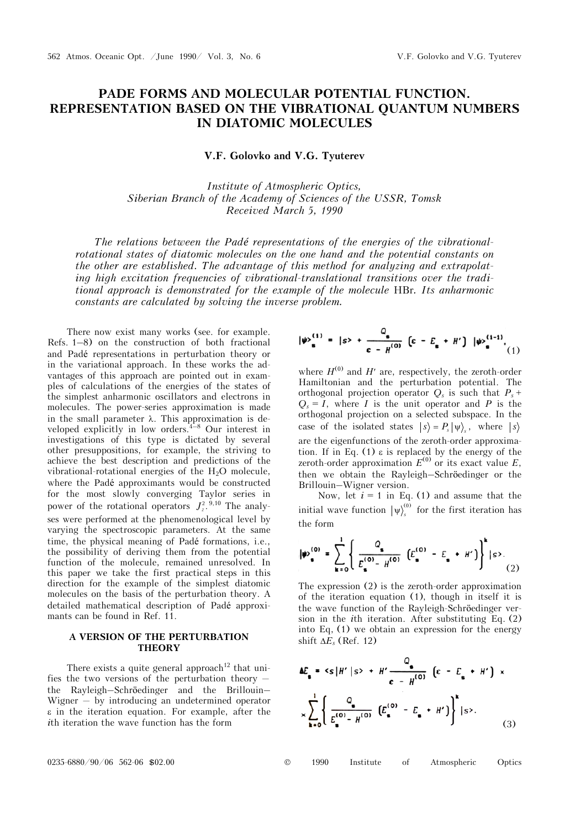# **PADE FORMS AND MOLECULAR POTENTIAL FUNCTION. REPRESENTATION BASED ON THE VIBRATIONAL QUANTUM NUMBERS IN DIATOMIC MOLECULES**

**V.F. Golovko and V.G. Tyuterev** 

*Institute of Atmospheric Optics, Siberian Branch of the Academy of Sciences of the USSR, Tomsk Received March 5, 1990* 

*The relations between the Padé representations of the energies of the vibrationalrotational states of diatomic molecules on the one hand and the potential constants on the other are established. The advantage of this method for analyzing and extrapolating high excitation frequencies of vibrational-translational transitions over the traditional approach is demonstrated for the example of the molecule* HBr*. Its anharmonic constants are calculated by solving the inverse problem.* 

There now exist many works (see. for example. Refs. 1–8) on the construction of both fractional and Padé representations in perturbation theory or in the variational approach. In these works the advantages of this approach are pointed out in examples of calculations of the energies of the states of the simplest anharmonic oscillators and electrons in molecules. The power-series approximation is made in the small parameter  $\lambda$ . This approximation is developed explicitly in low orders.  $4-8$  Our interest in investigations of this type is dictated by several other presuppositions, for example, the striving to achieve the best description and predictions of the vibrational-rotational energies of the  $H_2O$  molecule, where the Padé approximants would be constructed for the most slowly converging Taylor series in power of the rotational operators  $J_z^2$ .<sup>9,10</sup> The analyses were performed at the phenomenological level by varying the spectroscopic parameters. At the same time, the physical meaning of Padé formations, i.e., the possibility of deriving them from the potential function of the molecule, remained unresolved. In this paper we take the first practical steps in this direction for the example of the simplest diatomic molecules on the basis of the perturbation theory. A detailed mathematical description of Padé approximants can be found in Ref. 11.

## **A VERSION OF THE PERTURBATION THEORY**

There exists a quite general approach<sup>12</sup> that unifies the two versions of the perturbation theory  $$ the Rayleigh–Schröedinger and the Brillouin– Wigner  $-$  by introducing an undetermined operator  $\epsilon$  in the iteration equation. For example, after the *i*th iteration the wave function has the form

$$
|\psi\rangle_{\mathbf{s}}^{(1)} = |s\rangle + \frac{Q_{\mathbf{s}}}{\epsilon - H^{(0)}} \left[ \epsilon - E_{\mathbf{s}} + H' \right] |\psi\rangle_{\mathbf{s}}^{(1-1)}|_{(1)}
$$

where  $H^{(0)}$  and  $H'$  are, respectively, the zeroth-order Hamiltonian and the perturbation potential. The orthogonal projection operator  $Q_s$  is such that  $P_s$  +  $Q_s = I$ , where *I* is the unit operator and *P* is the orthogonal projection on a selected subspace. In the case of the isolated states  $|s\rangle = P_s |\psi\rangle_s$ , where  $|s\rangle$ are the eigenfunctions of the zeroth-order approximation. If in Eq.  $(1)$   $\varepsilon$  is replaced by the energy of the zeroth-order approximation  $E^{(0)}$  or its exact value  $E$ , then we obtain the Rayleigh–Schröedinger or the Brillouin–Wigner version.

Now, let  $i = 1$  in Eq. (1) and assume that the initial wave function  $|\psi\rangle_s^{(0)}$  for the first iteration has the form

$$
|\psi_{\mathbf{s}}^{(0)}| = \sum_{\mathbf{k}=0}^{1} \left\{ \frac{Q_{\mathbf{s}}}{E_{\mathbf{s}}^{(0)} - H_{\mathbf{s}}^{(0)}} \left( E_{\mathbf{s}}^{(0)} - E_{\mathbf{s}} + H' \right) \right\}^{k} |s\rangle. \tag{2}
$$

The expression (2) is the zeroth-order approximation of the iteration equation (1), though in itself it is the wave function of the Rayleigh-Schröedinger version in the *i*th iteration. After substituting Eq. (2) into Eq, (1) we obtain an expression for the energy shift  $\Delta E_s$  (Ref. 12)

$$
\Delta E_{\mathbf{s}} = \langle \mathbf{s} | H' | \mathbf{s} \rangle + H' \frac{Q_{\mathbf{s}}}{\mathbf{\epsilon} - H^{(0)}} \left( \mathbf{\epsilon} - E_{\mathbf{s}} + H' \right) \times
$$

$$
\times \sum_{k=0}^{1} \left\{ \frac{Q_{\mathbf{s}}}{E_{\mathbf{s}}^{(0)} - H^{(0)}} \left( E_{\mathbf{s}}^{(0)} - E_{\mathbf{s}} + H' \right) \right\}^{k} | \mathbf{s} \rangle. \tag{3}
$$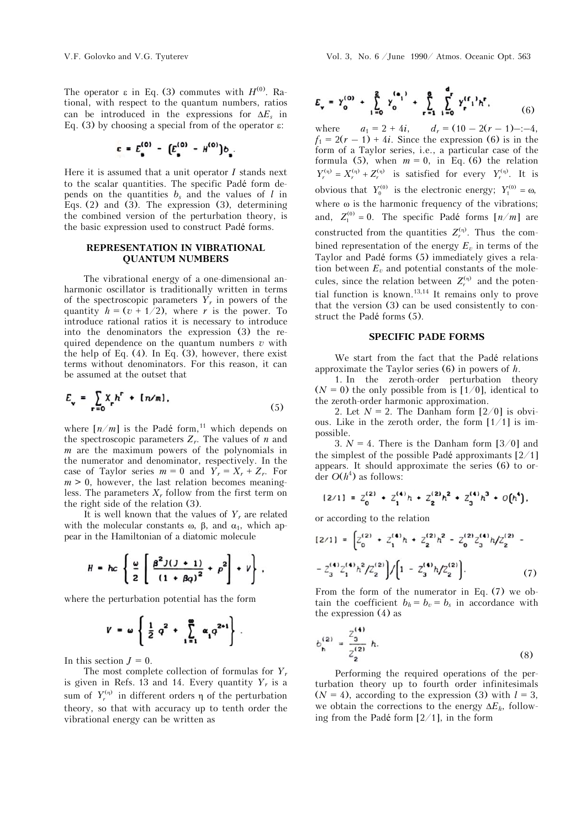The operator  $\varepsilon$  in Eq. (3) commutes with  $H^{(0)}$ . Rational, with respect to the quantum numbers, ratios can be introduced in the expressions for  $\Delta E_s$  in Eq. (3) by choosing a special from of the operator  $\varepsilon$ :

$$
c = E_{\rm s}^{(0)} - [E_{\rm s}^{(0)} - H^{(0)}]b_{\rm s}.
$$

Here it is assumed that a unit operator *I* stands next to the scalar quantities. The specific Padé form depends on the quantities  $b_s$  and the values of  $l$  in Eqs. (2) and  $(3)$ . The expression  $(3)$ , determining the combined version of the perturbation theory, is the basic expression used to construct Padé forms.

## **REPRESENTATION IN VIBRATIONAL QUANTUM NUMBERS**

The vibrational energy of a one-dimensional anharmonic oscillator is traditionally written in terms of the spectroscopic parameters  $Y_r$  in powers of the quantity  $h = (v + 1/2)$ , where *r* is the power. To introduce rational ratios it is necessary to introduce into the denominators the expression (3) the required dependence on the quantum numbers *v* with the help of Eq.  $(4)$ . In Eq.  $(3)$ , however, there exist terms without denominators. For this reason, it can be assumed at the outset that

$$
E_{\mathbf{v}} = \sum_{\mathbf{r}=0} X_{\mathbf{r}} h^{\mathbf{r}} + [n/m], \qquad (5)
$$

where  $[n/m]$  is the Padé form,<sup>11</sup> which depends on the spectroscopic parameters  $Z_r$ . The values of  $n$  and *m* are the maximum powers of the polynomials in the numerator and denominator, respectively. In the case of Taylor series  $m = 0$  and  $Y_r = X_r + Z_r$ . For  $m > 0$ , however, the last relation becomes meaningless. The parameters  $X_r$  follow from the first term on the right side of the relation (3).

It is well known that the values of  $Y_r$  are related with the molecular constants  $\omega$ ,  $\beta$ , and  $\alpha_1$ , which appear in the Hamiltonian of a diatomic molecule

$$
H = hc \left\{ \frac{\omega}{2} \left[ \frac{\beta^2 J (J + 1)}{(1 + \beta q)^2} + \rho^2 \right] + V \right\}.
$$

where the perturbation potential has the form

$$
V = \omega \left\{ \frac{1}{2} q^2 + \sum_{i=1}^{\infty} \alpha_i q^{2+i} \right\}.
$$

In this section  $J = 0$ .

The most complete collection of formulas for *Yr* is given in Refs. 13 and 14. Every quantity  $Y_r$  is a sum of  $Y_r^{(\eta)}$  in different orders  $\eta$  of the perturbation theory, so that with accuracy up to tenth order the vibrational energy can be written as

$$
E_{\mathbf{v}} = Y_0^{(0)} + \sum_{i=0}^{2} Y_0^{(a_i)} + \sum_{r=1}^{6} \sum_{i=0}^{d_r} Y_r^{(r_i)} h^r, \tag{6}
$$

where  $a_1 = 2 + 4i$ ,  $d_r = (10 - 2(r - 1)) - (-4)$ ,  $f_1 = 2(r - 1) + 4i$ . Since the expression (6) is in the form of a Taylor series, i.e., a particular case of the formula (5), when  $m = 0$ , in Eq. (6) the relation  $Y_r^{(\eta)} = X_r^{(\eta)} + Z_r^{(\eta)}$  is satisfied for every  $Y_r^{(\eta)}$ . It is obvious that  $Y_0^{(0)}$  is the electronic energy;  $Y_1^{(0)} = \omega$ , where  $\omega$  is the harmonic frequency of the vibrations; and,  $Z_1^{(0)} = 0$ . The specific Padé forms  $[n/m]$  are constructed from the quantities  $Z_r^{(\eta)}$ . Thus the combined representation of the energy  $E<sub>v</sub>$  in terms of the Taylor and Padé forms (5) immediately gives a relation between  $E_v$  and potential constants of the molecules, since the relation between  $Z_r^{(n)}$  and the potential function is known.<sup>13,14</sup> It remains only to prove that the version (3) can be used consistently to construct the Padé forms (5).

#### **SPECIFIC PADE FORMS**

We start from the fact that the Padé relations approximate the Taylor series (6) in powers of *h*.

1. In the zeroth-order perturbation theory  $(N = 0)$  the only possible from is  $[1/0]$ , identical to the zeroth-order harmonic approximation.

2. Let  $N = 2$ . The Danham form  $\lceil 2/0 \rceil$  is obvious. Like in the zeroth order, the form  $[1/1]$  is impossible.

3.  $N = 4$ . There is the Danham form [3/0] and the simplest of the possible Padé approximants  $[2/1]$ appears. It should approximate the series (6) to order  $O(h^4)$  as follows:

$$
[2/1] = Z_0^{(2)} + Z_1^{(4)}h + Z_2^{(2)}h^2 + Z_3^{(4)}h^3 + O(h^4),
$$

or according to the relation

$$
[2/1] = \left[ Z_0^{(2)} + Z_1^{(4)}h + Z_2^{(2)}h^2 - Z_0^{(2)}Z_3^{(4)}h/Z_2^{(2)} - Z_3^{(4)}Z_1^{(4)}h^2/Z_2^{(2)} \right] / \left[ 1 - Z_3^{(4)}h/Z_2^{(2)} \right].
$$
 (7)

From the form of the numerator in Eq. (7) we obtain the coefficient  $b_h = b_v = b_s$  in accordance with the expression (4) as

$$
b_{\mathbf{h}}^{(2)} = \frac{Z_3^{(4)}}{Z_2^{(2)}} h.
$$
 (8)

Performing the required operations of the perturbation theory up to fourth order infinitesimals  $(N = 4)$ , according to the expression (3) with  $l = 3$ , we obtain the corrections to the energy  $\Delta E_h$ , following from the Padé form  $[2/1]$ , in the form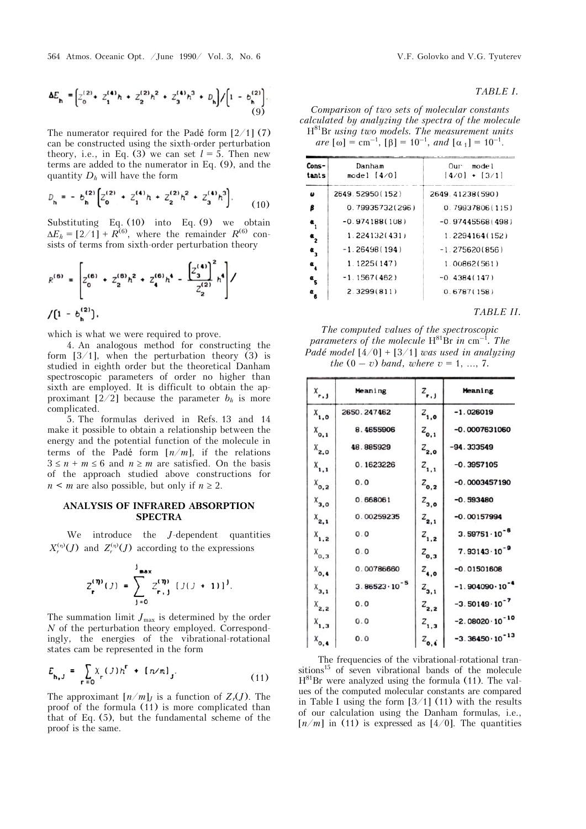564 Atmos. Oceanic Opt. /June 1990/ Vol. 3, No. 6 V.F. Golovko and V.G. Tyuterev

$$
\Delta E_{\mathbf{h}} = \left[ z_0^{(2)} + z_1^{(4)} h + z_2^{(2)} h^2 + z_3^{(4)} h^3 + D_{\mathbf{h}} \right] / \left[ 1 - b_{\mathbf{h}}^{(2)} \right]. \tag{9}
$$

The numerator required for the Padé form  $\left[2/1\right]$  (7) can be constructed using the sixth-order perturbation theory, i.e., in Eq. (3) we can set  $l = 5$ . Then new terms are added to the numerator in Eq. (9), and the quantity *Dh* will have the form

$$
D_{\mathbf{h}} = -b_{\mathbf{h}}^{(2)} \left[ Z_0^{(2)} + Z_1^{(4)} h + Z_2^{(2)} h^2 + Z_3^{(4)} h^3 \right].
$$
 (10)

Substituting Eq. (10) into Eq. (9) we obtain  $\Delta E_h = [2/1] + R^{(6)}$ , where the remainder *R*<sup>(6)</sup> consists of terms from sixth-order perturbation theory

$$
R^{(6)} = \left[ Z_0^{(6)} + Z_2^{(6)}h^2 + Z_4^{(6)}h^4 - \frac{\left[ Z_3^{(4)} \right]^2}{Z_2^{(2)}}h^4 \right] / \left[ 1 - b_h^{(2)} \right].
$$

which is what we were required to prove.

4. An analogous method for constructing the form  $[3/1]$ , when the perturbation theory (3) is studied in eighth order but the theoretical Danham spectroscopic parameters of order no higher than sixth are employed. It is difficult to obtain the approximant  $[2/2]$  because the parameter  $b_h$  is more complicated.

5. The formulas derived in Refs. 13 and 14 make it possible to obtain a relationship between the energy and the potential function of the molecule in terms of the Padé form  $\lceil n/m \rceil$ , if the relations  $3 \leq n + m \leq 6$  and  $n \geq m$  are satisfied. On the basis of the approach studied above constructions for  $n \leq m$  are also possible, but only if  $n \geq 2$ .

## **ANALYSIS OF INFRARED ABSORPTION SPECTRA**

We introduce the *J*-dependent quantities  $X_r^{(\eta)}(J)$  and  $Z_r^{(\eta)}(J)$  according to the expressions

$$
Z_{r}^{(\eta)}(J) = \sum_{j=0}^{J_{\text{max}}} Z_{r,j}^{(\eta)} [J(J+1)]^{J}.
$$

The summation limit  $J_{\text{max}}$  is determined by the order *N* of the perturbation theory employed. Correspondingly, the energies of the vibrational-rotational states cam be represented in the form

$$
E_{h,J} = \sum_{r=0}^{N} x_r (J) h^r + [n/m]_J.
$$
 (11)

The approximant  $[n/m]$ *I* is a function of  $Z_r(J)$ . The proof of the formula (11) is more complicated than that of Eq. (5), but the fundamental scheme of the proof is the same.

## *TABLE I.*

*Comparison of two sets of molecular constants calculated by analyzing the spectra of the molecule*  H81Br *using two models. The measurement units*   $are \ [\omega] = \text{cm}^{-1}, \ [\beta] = 10^{-1}, \ and \ [\alpha_1] = 10^{-1}.$ 

| Cons-<br>tants                                  | Danham<br>model $[4/0]$ | Our model<br>$[4/0] + [3/1]$ |
|-------------------------------------------------|-------------------------|------------------------------|
| ω                                               | 2649.52950(152)         | 2649.41238(590)              |
| β                                               | 0.79935732(296)         | 0.79937806(115)              |
| $\mathbf{a}^{\phantom{\dag}}_{\phantom{\dag}1}$ | $-0.974188(108)$        | $-0.97445568(498)$           |
| $\frac{a}{2}$                                   | 1.224132(431)           | 1.2294164(152)               |
| $\alpha$ <sub>3</sub>                           | $-1.26498(194)$         | $-1.275620(856)$             |
| $\alpha$                                        | 1.1225(147)             | 1.00862(561)                 |
| $\frac{a}{5}$                                   | $-1.1567(462)$          | $-0.4384(147)$               |
| $a_{6}$                                         | 2.3299(811)             | 0.6787(158)                  |

*TABLE II.*

*The computed values of the spectroscopic parameters of the molecule*  $H^{81}Br$  *in* cm<sup>-1</sup>. The *Padé model* [4/0] + [3/1] *was used in analyzing the*  $(0 - v)$  *band, where*  $v = 1, ..., 7$ .

| $X_{r,1}$              | Meaning                 | $z_{r,j}$       | Meaning                   |  |
|------------------------|-------------------------|-----------------|---------------------------|--|
| $x_{1,0}$              | 2650.247462             | $Z_{1,0}$       | $-1.026019$               |  |
| $X_{0,1}$              | 8.4655906               | $Z_{0,1}$       | $-0.0007631060$           |  |
| $X_{2,0}$              | 48.885929               | $Z_{2,0}$       | $-94.333549$              |  |
| $X_{1,1}$              | 0.1623226               | $Z_{1,1}$       | $-0.3957105$              |  |
| $x_{o, z}$             | 0.0                     | $Z_{0,2}$       | $-0.0003457190$           |  |
| $x_{3,0}$              | 0.668061                | $Z_{3,0}$       | $-0.593480$               |  |
| $X_{2,1}$              | 0.00259235              | $Z_{2,1}$       | $-0.00157994$             |  |
| $X_{1,2}$              | 0.0                     | $z_{1,2}$       | $3.59751 \cdot 10^{-6}$   |  |
| $X_{0,3}$              | 0.0                     | $z_{0,3}$       | $7.93143 \cdot 10^{-9}$   |  |
| $X_{\bullet, \bullet}$ | 0.00786660              | $z_{\bullet,0}$ | $-0.01501608$             |  |
| $X_{3,1}$              | $3.86523 \cdot 10^{-5}$ | $z_{3,1}$       | $-1.904090 \cdot 10^{-4}$ |  |
| $X_{2,2}$              | 0.0                     | $z_{2,2}$       | $-3.50149 \cdot 10^{-7}$  |  |
| $X_{1,3}$              | 0.0                     | $z_{1,3}$       | $-2.08020 \cdot 10^{-10}$ |  |
| $X_{0,4}$              | 0.0                     | $z_{0,4}$       | $-3.36450 \cdot 10^{-13}$ |  |

The frequencies of the vibrational-rotational transitions<sup>15</sup> of seven vibrational bands of the molecule  $H^{81}Br$  were analyzed using the formula (11). The values of the computed molecular constants are compared in Table I using the form  $[3/1]$  (11) with the results of our calculation using the Danham formulas, i.e.,  $\lceil n/m \rceil$  in (11) is expressed as  $\lceil 4/0 \rceil$ . The quantities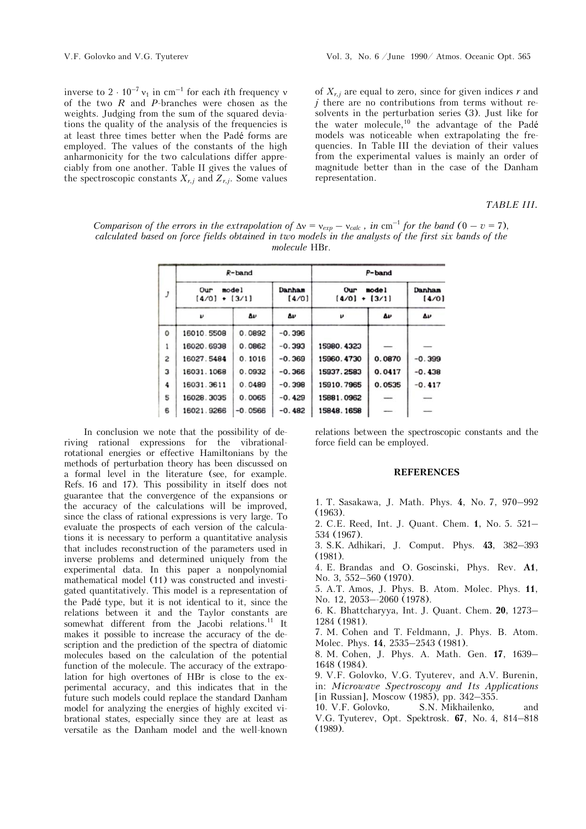inverse to  $2 \cdot 10^{-7}$  v<sub>1</sub> in cm<sup>-1</sup> for each *i*th frequency v of the two *R* and *P*-branches were chosen as the weights. Judging from the sum of the squared deviations the quality of the analysis of the frequencies is at least three times better when the Padé forms are employed. The values of the constants of the high anharmonicity for the two calculations differ appreciably from one another. Table II gives the values of the spectroscopic constants  $X_{r,i}$  and  $Z_{r,i}$ . Some values

of  $X_{r,j}$  are equal to zero, since for given indices  $r$  and *j* there are no contributions from terms without resolvents in the perturbation series (3). Just like for the water molecule,10 the advantage of the Padé models was noticeable when extrapolating the frequencies. In Table III the deviation of their values from the experimental values is mainly an order of magnitude better than in the case of the Danham representation.

*TABLE III.* 

*Comparison of the errors in the extrapolation of*  $\Delta v = v_{exp} - v_{calc}$ , in cm<sup>-1</sup> for the band (0 – v = 7), *calculated based on force fields obtained in two models in the analysts of the first six bands of the molecule* HBr.

| J | $R$ -band                                      |           |                 | $P$ -band                           |              |                 |
|---|------------------------------------------------|-----------|-----------------|-------------------------------------|--------------|-----------------|
|   | mode <sub>1</sub><br>Our<br>$+ [3/1]$<br>[4/0] |           | Danham<br>(4/0) | mode l<br>Our<br>(4/0)<br>$+ [3/1]$ |              | Danham<br>(4/0) |
|   | $\boldsymbol{\nu}$                             | Δυ        | Δυ              | $\boldsymbol{\nu}$                  | $\mathbf{v}$ | Δν              |
| 0 | 16010.5508                                     | 0.0892    | $-0.396$        |                                     |              |                 |
| 1 | 16020.6938                                     | 0.0862    | $-0.393$        | 15980.4323                          |              |                 |
| 2 | 16027.5484                                     | 0.1016    | $-0.369$        | 15960.4730                          | 0.0870       | $-0.399$        |
| 3 | 16031.1068                                     | 0.0932    | $-0.366$        | 15937.2583                          | 0.0417       | $-0.438$        |
| 4 | 16031.3611                                     | 0.0489    | $-0.398$        | 15910.7965                          | 0.0535       | $-0.417$        |
| 5 | 16028.3035                                     | 0.0065    | $-0.429$        | 15881.0962                          |              |                 |
| 6 | 16021.9266                                     | $-0.0566$ | $-0.482$        | 15848.1658                          |              |                 |

In conclusion we note that the possibility of deriving rational expressions for the vibrationalrotational energies or effective Hamiltonians by the methods of perturbation theory has been discussed on a formal level in the literature (see, for example. Refs. 16 and 17). This possibility in itself does not guarantee that the convergence of the expansions or the accuracy of the calculations will be improved, since the class of rational expressions is very large. To evaluate the prospects of each version of the calculations it is necessary to perform a quantitative analysis that includes reconstruction of the parameters used in inverse problems and determined uniquely from the experimental data. In this paper a nonpolynomial mathematical model (11) was constructed and investigated quantitatively. This model is a representation of the Padé type, but it is not identical to it, since the relations between it and the Taylor constants are somewhat different from the Jacobi relations.<sup>11</sup> It makes it possible to increase the accuracy of the description and the prediction of the spectra of diatomic molecules based on the calculation of the potential function of the molecule. The accuracy of the extrapolation for high overtones of HBr is close to the experimental accuracy, and this indicates that in the future such models could replace the standard Danham model for analyzing the energies of highly excited vibrational states, especially since they are at least as versatile as the Danham model and the well-known

relations between the spectroscopic constants and the force field can be employed.

### **REFERENCES**

1. T. Sasakawa, J. Math. Phys. **4**, No. 7, 970–992 (1963).

2. C.E. Reed, Int. J. Quant. Chem. **1**, No. 5. 521– 534 (1967).

3. S.K. Adhikari, J. Comput. Phys. **43**, 382–393 (1981).

4. E. Brandas and O. Goscinski, Phys. Rev. **A1**, No. 3, 552–560 (1970).

5. A.T. Amos, J. Phys. B. Atom. Molec. Phys. **11**, No. 12, 2053–-2060 (1978).

6. K. Bhattcharyya, Int. J. Quant. Chem. **20**, 1273– 1284 (1981).

7. M. Cohen and T. Feldmann, J. Phys. B. Atom. Molec. Phys. **14**, 2535–2543 (1981).

8. M. Cohen, J. Phys. A. Math. Gen. **17**, 1639– 1648 (1984).

9. V.F. Golovko, V.G. Tyuterev, and A.V. Burenin, in: *Microwave Spectroscopy and Its Applications* [in Russian], Moscow (1985), pp. 342–355.

10. V.F. Golovko, S.N. Mikhailenko, and V.G. Tyuterev, Opt. Spektrosk. **67**, No. 4, 814–818 (1989).